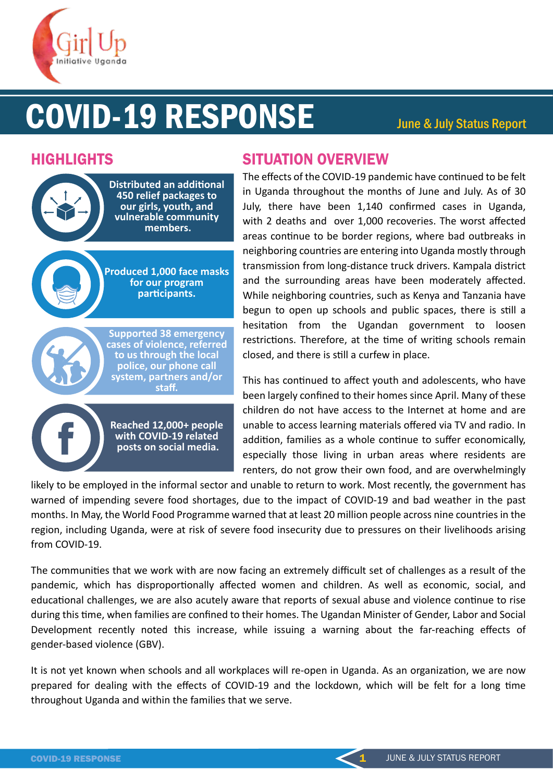

# COVID-19 RESPONSE June & July Status Report



# HIGHLIGHTS SITUATION OVERVIEW

The effects of the COVID-19 pandemic have continued to be felt in Uganda throughout the months of June and July. As of 30 July, there have been 1,140 confirmed cases in Uganda, with 2 deaths and over 1,000 recoveries. The worst affected areas continue to be border regions, where bad outbreaks in neighboring countries are entering into Uganda mostly through transmission from long-distance truck drivers. Kampala district and the surrounding areas have been moderately affected. While neighboring countries, such as Kenya and Tanzania have begun to open up schools and public spaces, there is still a hesitation from the Ugandan government to loosen restrictions. Therefore, at the time of writing schools remain closed, and there is still a curfew in place.

This has continued to affect youth and adolescents, who have been largely confined to their homes since April. Many of these children do not have access to the Internet at home and are unable to access learning materials offered via TV and radio. In addition, families as a whole continue to suffer economically, especially those living in urban areas where residents are renters, do not grow their own food, and are overwhelmingly

likely to be employed in the informal sector and unable to return to work. Most recently, the government has warned of impending severe food shortages, due to the impact of COVID-19 and bad weather in the past months. In May, the World Food Programme warned that at least 20 million people across nine countries in the region, including Uganda, were at risk of severe food insecurity due to pressures on their livelihoods arising from COVID-19.

The communi�es that we work with are now facing an extremely difficult set of challenges as a result of the pandemic, which has disproportionally affected women and children. As well as economic, social, and educational challenges, we are also acutely aware that reports of sexual abuse and violence continue to rise during this �me, when families are confined to their homes. The Ugandan Minister of Gender, Labor and Social Development recently noted this increase, while issuing a warning about the far-reaching effects of gender-based violence (GBV).

It is not yet known when schools and all workplaces will re-open in Uganda. As an organization, we are now prepared for dealing with the effects of COVID-19 and the lockdown, which will be felt for a long time throughout Uganda and within the families that we serve.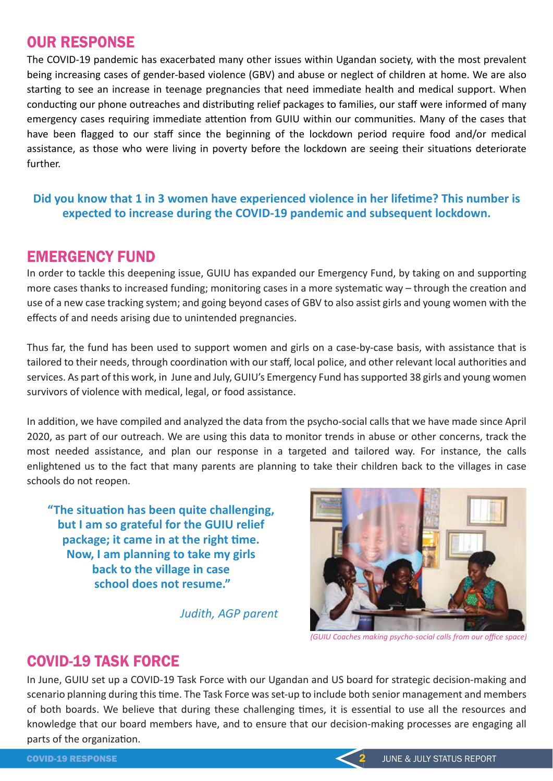# OUR RESPONSE

The COVID-19 pandemic has exacerbated many other issues within Ugandan society, with the most prevalent being increasing cases of gender-based violence (GBV) and abuse or neglect of children at home. We are also starting to see an increase in teenage pregnancies that need immediate health and medical support. When conducting our phone outreaches and distributing relief packages to families, our staff were informed of many emergency cases requiring immediate attention from GUIU within our communities. Many of the cases that have been flagged to our staff since the beginning of the lockdown period require food and/or medical assistance, as those who were living in poverty before the lockdown are seeing their situations deteriorate further.

#### Did you know that 1 in 3 women have experienced violence in her lifetime? This number is **expected to increase during the COVID-19 pandemic and subsequent lockdown.**

## EMERGENCY FUND

In order to tackle this deepening issue, GUIU has expanded our Emergency Fund, by taking on and supporting more cases thanks to increased funding; monitoring cases in a more systematic way – through the creation and use of a new case tracking system; and going beyond cases of GBV to also assist girls and young women with the effects of and needs arising due to unintended pregnancies.

Thus far, the fund has been used to support women and girls on a case-by-case basis, with assistance that is tailored to their needs, through coordination with our staff, local police, and other relevant local authorities and services. As part of this work, in June and July, GUIU's Emergency Fund has supported 38 girls and young women survivors of violence with medical, legal, or food assistance.

In addition, we have compiled and analyzed the data from the psycho-social calls that we have made since April 2020, as part of our outreach. We are using this data to monitor trends in abuse or other concerns, track the most needed assistance, and plan our response in a targeted and tailored way. For instance, the calls enlightened us to the fact that many parents are planning to take their children back to the villages in case schools do not reopen.

"The situation has been quite challenging, **but I am so grateful for the GUIU relief**  package; it came in at the right time. **Now, I am planning to take my girls back to the village in case school does not resume."**

*Judith, AGP parent*



*(GUIU Coaches making psycho-social calls from our office space)*

# COVID-19 TASK FORCE

In June, GUIU set up a COVID-19 Task Force with our Ugandan and US board for strategic decision-making and scenario planning during this time. The Task Force was set-up to include both senior management and members of both boards. We believe that during these challenging times, it is essential to use all the resources and knowledge that our board members have, and to ensure that our decision-making processes are engaging all parts of the organization.

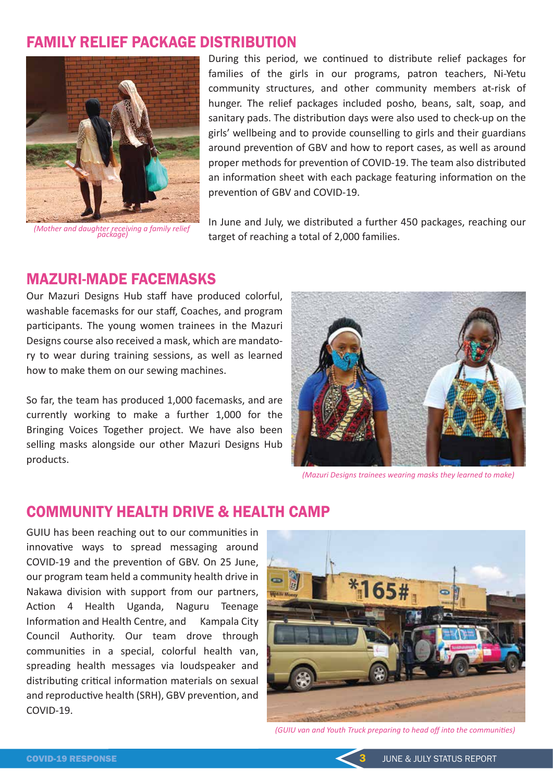# FAMILY RELIEF PACKAGE DISTRIBUTION



*(Mother and daughter receiving a family relief package)*

During this period, we continued to distribute relief packages for families of the girls in our programs, patron teachers, Ni-Yetu community structures, and other community members at-risk of hunger. The relief packages included posho, beans, salt, soap, and sanitary pads. The distribution days were also used to check-up on the girls' wellbeing and to provide counselling to girls and their guardians around prevention of GBV and how to report cases, as well as around proper methods for prevention of COVID-19. The team also distributed an information sheet with each package featuring information on the prevention of GBV and COVID-19.

In June and July, we distributed a further 450 packages, reaching our target of reaching a total of 2,000 families.

### MAZURI-MADE FACEMASKS

Our Mazuri Designs Hub staff have produced colorful, washable facemasks for our staff, Coaches, and program participants. The young women trainees in the Mazuri Designs course also received a mask, which are mandatory to wear during training sessions, as well as learned how to make them on our sewing machines.

So far, the team has produced 1,000 facemasks, and are currently working to make a further 1,000 for the Bringing Voices Together project. We have also been selling masks alongside our other Mazuri Designs Hub products.



*(Mazuri Designs trainees wearing masks they learned to make)*

### COMMUNITY HEALTH DRIVE & HEALTH CAMP

GUIU has been reaching out to our communities in innovative ways to spread messaging around COVID-19 and the prevention of GBV. On 25 June, our program team held a community health drive in Nakawa division with support from our partners, Action 4 Health Uganda, Naguru Teenage Information and Health Centre, and Kampala City Council Authority. Our team drove through communi�es in a special, colorful health van, spreading health messages via loudspeaker and distributing critical information materials on sexual and reproductive health (SRH), GBV prevention, and COVID-19.



*(GUIU van and Youth Truck preparing to head off into the communities)*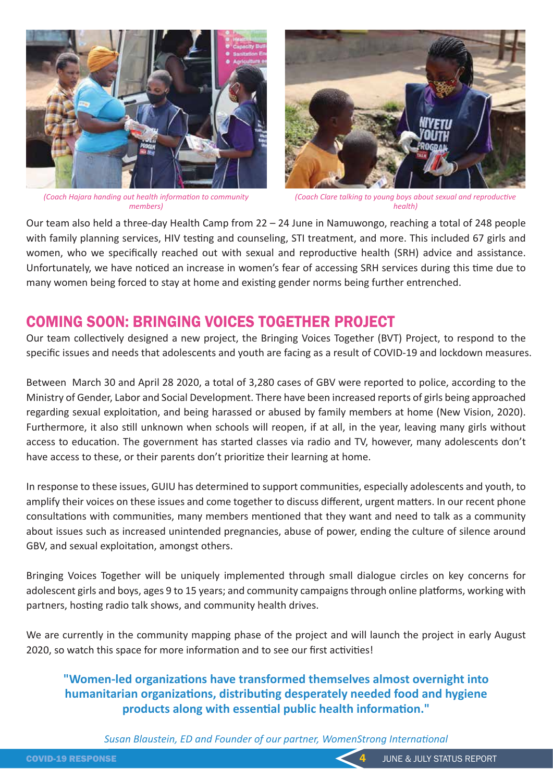

*(Coach Hajara handing out health information to community members)* 



*(Coach Clare talking to young boys about sexual and reproductive health)* 

Our team also held a three-day Health Camp from 22 – 24 June in Namuwongo, reaching a total of 248 people with family planning services, HIV testing and counseling, STI treatment, and more. This included 67 girls and women, who we specifically reached out with sexual and reproductive health (SRH) advice and assistance. Unfortunately, we have noticed an increase in women's fear of accessing SRH services during this time due to many women being forced to stay at home and existing gender norms being further entrenched.

# COMING SOON: BRINGING VOICES TOGETHER PROJECT

Our team collectively designed a new project, the Bringing Voices Together (BVT) Project, to respond to the specific issues and needs that adolescents and youth are facing as a result of COVID-19 and lockdown measures.

Between March 30 and April 28 2020, a total of 3,280 cases of GBV were reported to police, according to the Ministry of Gender, Labor and Social Development. There have been increased reports of girls being approached regarding sexual exploitation, and being harassed or abused by family members at home (New Vision, 2020). Furthermore, it also still unknown when schools will reopen, if at all, in the year, leaving many girls without access to education. The government has started classes via radio and TV, however, many adolescents don't have access to these, or their parents don't prioritize their learning at home.

In response to these issues, GUIU has determined to support communities, especially adolescents and youth, to amplify their voices on these issues and come together to discuss different, urgent matters. In our recent phone consultations with communities, many members mentioned that they want and need to talk as a community about issues such as increased unintended pregnancies, abuse of power, ending the culture of silence around GBV, and sexual exploitation, amongst others.

Bringing Voices Together will be uniquely implemented through small dialogue circles on key concerns for adolescent girls and boys, ages 9 to 15 years; and community campaigns through online platforms, working with partners, hosting radio talk shows, and community health drives.

We are currently in the community mapping phase of the project and will launch the project in early August 2020, so watch this space for more information and to see our first activities!

**"Women-led organizations have transformed themselves almost overnight into humanitarian organizations, distributing desperately needed food and hygiene** products along with essential public health information."

*Susan Blaustein, ED and Founder of our partner, WomenStrong International*

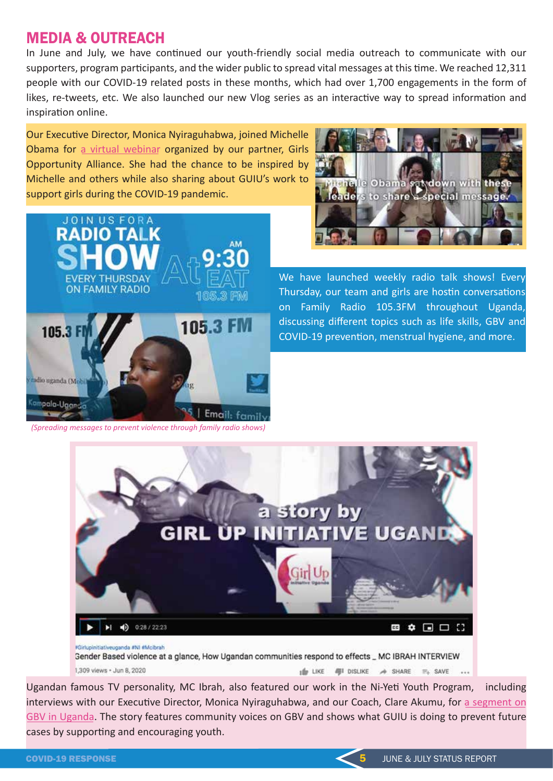# MEDIA & OUTREACH

In June and July, we have continued our youth-friendly social media outreach to communicate with our supporters, program participants, and the wider public to spread vital messages at this time. We reached 12,311 people with our COVID-19 related posts in these months, which had over 1,700 engagements in the form of likes, re-tweets, etc. We also launched our new Vlog series as an interactive way to spread information and inspiration online.

Our Executive Director, Monica Nyiraguhabwa, joined Michelle Obama for [a virtual webinar](https://www.youtube.com/watch?v=eRAOEgzh3i8&list=PLZeIU0K1Gzx1wY9W5l2m-F-0uhXxM4RdI) organized by our partner, Girls Opportunity Alliance. She had the chance to be inspired by Michelle and others while also sharing about GUIU's work to support girls during the COVID-19 pandemic.





We have launched weekly radio talk shows! Every Thursday, our team and girls are hostin conversations on Family Radio 105.3FM throughout Uganda, discussing different topics such as life skills, GBV and COVID-19 prevention, menstrual hygiene, and more.

*(Spreading messages to prevent violence through family radio shows)*



Ugandan famous TV personality, MC Ibrah, also featured our work in the Ni-Yeti Youth Program, including interviews with our Executive Director, Monica Nyiraguhabwa, and our Coach, Clare Akumu, for a segment on [GBV in Uganda.](https://www.youtube.com/watch?v=dcsRZInKi0k) The story features community voices on GBV and shows what GUIU is doing to prevent future cases by supporting and encouraging youth.